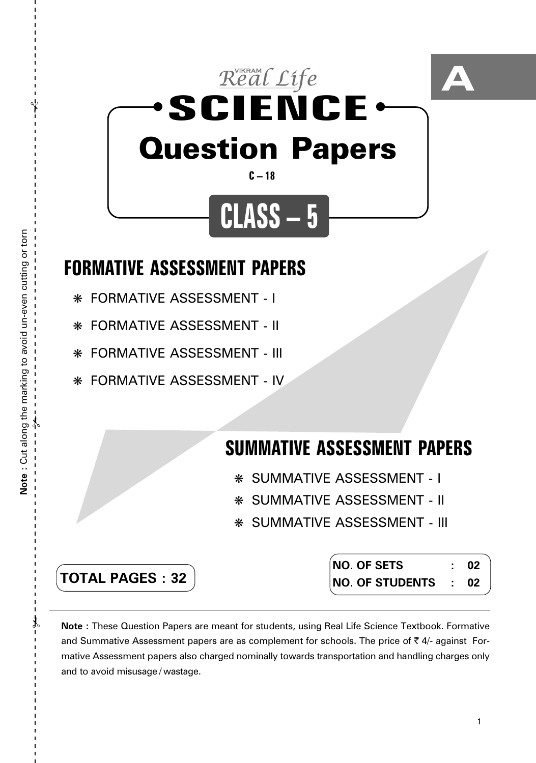

## **FORMATIVE ASSESSMENT PAPERS**

- ❋ FORMATIVE ASSESSMENT I
- ❋ FORMATIVE ASSESSMENT II
- ❋ FORMATIVE ASSESSMENT III
- ❋ FORMATIVE ASSESSMENT IV

# **SUMMATIVE ASSESSMENT PAPERS**

- ❋ SUMMATIVE ASSESSMENT I
- ❋ SUMMATIVE ASSESSMENT II
- ❋ SUMMATIVE ASSESSMENT III

| <b>TOTAL PAGES: 32</b> |  |
|------------------------|--|

**NO. OF SETS : 02 NO. OF STUDENTS : 02**

**Note :** These Question Papers are meant for students, using Real Life Science Textbook. Formative and Summative Assessment papers are as complement for schools. The price of  $\bar{\tau}$  4/- against Formative Assessment papers also charged nominally towards transportation and handling charges only and to avoid misusage / wastage.

 $\lambda$ 

 $\mathcal{Y}$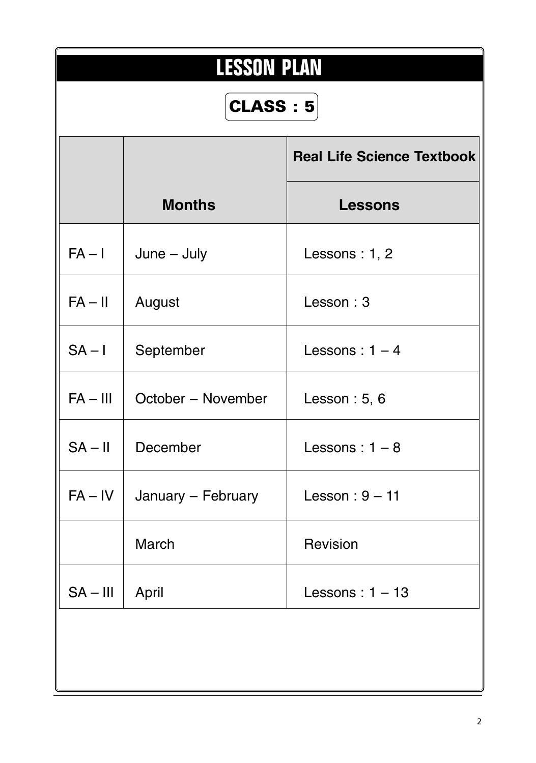| <b>LESSON PLAN</b> |                    |                                   |  |  |  |  |
|--------------------|--------------------|-----------------------------------|--|--|--|--|
|                    | <b>CLASS: 5</b>    |                                   |  |  |  |  |
|                    |                    | <b>Real Life Science Textbook</b> |  |  |  |  |
|                    | <b>Months</b>      | <b>Lessons</b>                    |  |  |  |  |
| $FA - I$           | $June - July$      | Lessons : $1, 2$                  |  |  |  |  |
| $FA - II$          | August             | Lesson: 3                         |  |  |  |  |
| $SA - I$           | September          | Lessons: $1 - 4$                  |  |  |  |  |
| $FA - III$         | October - November | Lesson : $5, 6$                   |  |  |  |  |
| $SA - II$          | December           | Lessons: $1 - 8$                  |  |  |  |  |
| $FA - IV$          | January - February | Lesson: $9 - 11$                  |  |  |  |  |
|                    | March              | Revision                          |  |  |  |  |
| $SA - III$         | April              | Lessons: $1 - 13$                 |  |  |  |  |
|                    |                    |                                   |  |  |  |  |
|                    |                    |                                   |  |  |  |  |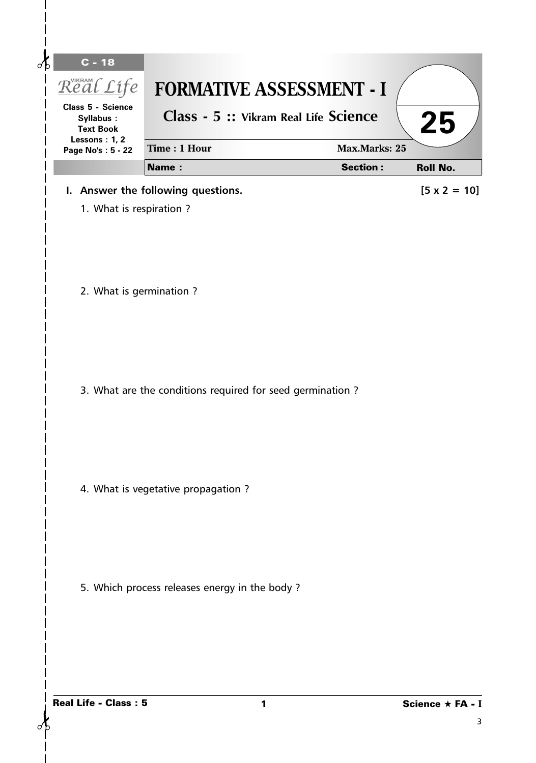| <b>Class 5 - Science</b><br>Syllabus:<br><b>Text Book</b> | Class - 5 :: Vikram Real Life Science                      |                      | 25                  |
|-----------------------------------------------------------|------------------------------------------------------------|----------------------|---------------------|
| Lessons: 1, 2<br>Page No's: 5 - 22                        | Time: 1 Hour                                               | <b>Max.Marks: 25</b> |                     |
|                                                           | <b>Name:</b>                                               | <b>Section:</b>      | <b>Roll No.</b>     |
|                                                           | I. Answer the following questions.                         |                      | $[5 \times 2 = 10]$ |
| 1. What is respiration?                                   |                                                            |                      |                     |
| 2. What is germination ?                                  |                                                            |                      |                     |
|                                                           | 3. What are the conditions required for seed germination ? |                      |                     |
|                                                           | 4. What is vegetative propagation?                         |                      |                     |
|                                                           | 5. Which process releases energy in the body?              |                      |                     |
|                                                           |                                                            |                      |                     |

 $\mathsf{l}$  $\overline{\phantom{a}}$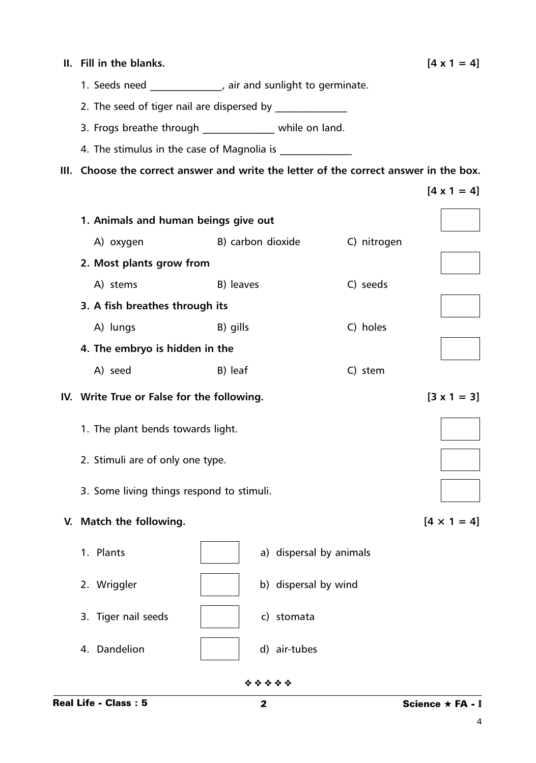| II. Fill in the blanks.                                                               |                   |                         |             | $[4 \times 1 = 4]$ |  |
|---------------------------------------------------------------------------------------|-------------------|-------------------------|-------------|--------------------|--|
| 1. Seeds need ______________, air and sunlight to germinate.                          |                   |                         |             |                    |  |
|                                                                                       |                   |                         |             |                    |  |
| 3. Frogs breathe through ______________ while on land.                                |                   |                         |             |                    |  |
|                                                                                       |                   |                         |             |                    |  |
| III. Choose the correct answer and write the letter of the correct answer in the box. |                   |                         |             |                    |  |
|                                                                                       |                   |                         |             | $[4 \times 1 = 4]$ |  |
| 1. Animals and human beings give out                                                  |                   |                         |             |                    |  |
| A) oxygen                                                                             | B) carbon dioxide |                         | C) nitrogen |                    |  |
| 2. Most plants grow from                                                              |                   |                         |             |                    |  |
| A) stems                                                                              | B) leaves         |                         | C) seeds    |                    |  |
| 3. A fish breathes through its                                                        |                   |                         |             |                    |  |
| A) lungs                                                                              | B) gills          |                         | C) holes    |                    |  |
| 4. The embryo is hidden in the                                                        |                   |                         |             |                    |  |
| A) seed                                                                               | B) leaf           |                         | C) stem     |                    |  |
| IV. Write True or False for the following.                                            |                   |                         |             |                    |  |
| 1. The plant bends towards light.                                                     |                   |                         |             |                    |  |
| 2. Stimuli are of only one type.                                                      |                   |                         |             |                    |  |
| 3. Some living things respond to stimuli.                                             |                   |                         |             |                    |  |
| V. Match the following.                                                               |                   |                         |             | $[4 \times 1 = 4]$ |  |
| 1. Plants                                                                             |                   | a) dispersal by animals |             |                    |  |
| 2. Wriggler                                                                           |                   | b) dispersal by wind    |             |                    |  |
| 3. Tiger nail seeds                                                                   |                   | c) stomata              |             |                    |  |
| 4. Dandelion                                                                          |                   | d) air-tubes            |             |                    |  |
|                                                                                       | * * * * *         |                         |             |                    |  |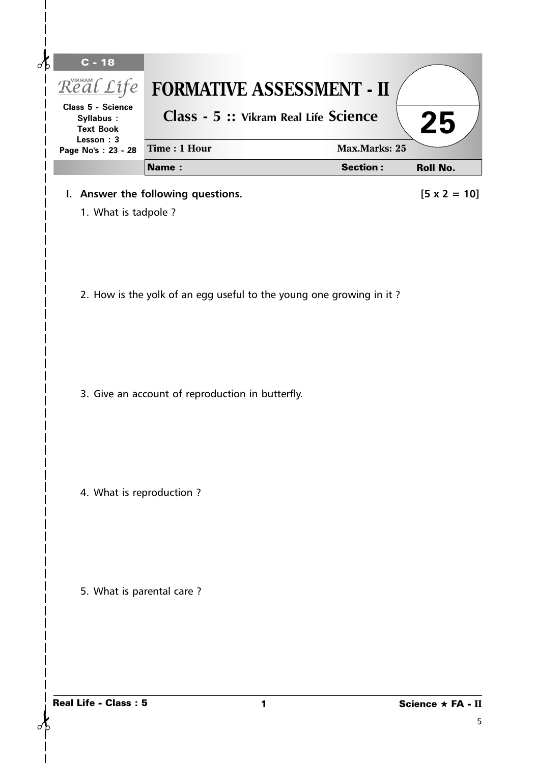| $C - 18$<br>√c<br>Real Life                                     | <b>FORMATIVE ASSESSMENT - II</b>                                    |                      |                        |
|-----------------------------------------------------------------|---------------------------------------------------------------------|----------------------|------------------------|
| Class 5 - Science<br>Syllabus:<br><b>Text Book</b><br>Lesson: 3 | Class - 5 :: Vikram Real Life Science                               |                      | 25                     |
| Page No's: 23 - 28                                              | Time: 1 Hour                                                        | <b>Max.Marks: 25</b> |                        |
|                                                                 | <b>Name:</b>                                                        | <b>Section:</b>      | <b>Roll No.</b>        |
| 1. What is tadpole ?                                            | I. Answer the following questions.                                  |                      | $[5 \times 2 = 10]$    |
|                                                                 | 2. How is the yolk of an egg useful to the young one growing in it? |                      |                        |
|                                                                 | 3. Give an account of reproduction in butterfly.                    |                      |                        |
| 4. What is reproduction?                                        |                                                                     |                      |                        |
| 5. What is parental care?                                       |                                                                     |                      |                        |
| <b>Real Life - Class: 5</b>                                     | 1                                                                   |                      | Science ★ FA - II<br>5 |

 $\delta$ 

 $\mathsf{l}$  $\mathsf I$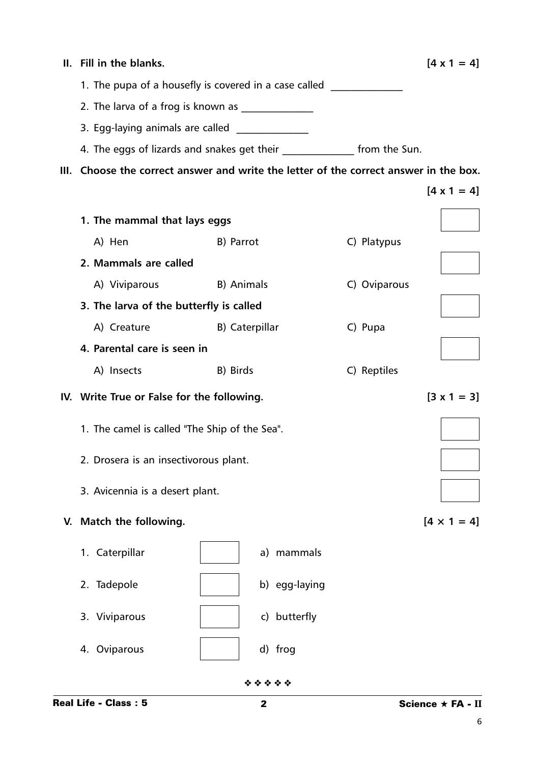|    | II. Fill in the blanks.                       | $[4 \times 1 = 4]$                                                               |                                                                                       |  |
|----|-----------------------------------------------|----------------------------------------------------------------------------------|---------------------------------------------------------------------------------------|--|
|    |                                               | 1. The pupa of a housefly is covered in a case called __________________________ |                                                                                       |  |
|    |                                               |                                                                                  |                                                                                       |  |
|    | 3. Egg-laying animals are called _________    |                                                                                  |                                                                                       |  |
|    |                                               | 4. The eggs of lizards and snakes get their _______________ from the Sun.        |                                                                                       |  |
|    |                                               |                                                                                  | III. Choose the correct answer and write the letter of the correct answer in the box. |  |
|    |                                               |                                                                                  | $[4 \times 1 = 4]$                                                                    |  |
|    | 1. The mammal that lays eggs                  |                                                                                  |                                                                                       |  |
|    | A) Hen                                        | B) Parrot                                                                        | C) Platypus                                                                           |  |
|    | 2. Mammals are called                         |                                                                                  |                                                                                       |  |
|    |                                               | A) Viviparous B) Animals                                                         |                                                                                       |  |
|    | 3. The larva of the butterfly is called       |                                                                                  | C) Oviparous                                                                          |  |
|    | A) Creature                                   | B) Caterpillar                                                                   |                                                                                       |  |
|    | 4. Parental care is seen in                   |                                                                                  |                                                                                       |  |
|    | A) Insects                                    | B) Birds                                                                         | C) Reptiles                                                                           |  |
|    | IV. Write True or False for the following.    | $[3 \times 1 = 3]$                                                               |                                                                                       |  |
|    | 1. The camel is called "The Ship of the Sea". |                                                                                  |                                                                                       |  |
|    | 2. Drosera is an insectivorous plant.         |                                                                                  |                                                                                       |  |
|    | 3. Avicennia is a desert plant.               |                                                                                  |                                                                                       |  |
| V. | Match the following.                          |                                                                                  | $[4 \times 1 = 4]$                                                                    |  |
|    | 1. Caterpillar                                | a) mammals                                                                       |                                                                                       |  |
|    | 2. Tadepole                                   | b) egg-laying                                                                    |                                                                                       |  |
|    | 3. Viviparous                                 | c) butterfly                                                                     |                                                                                       |  |
|    | 4. Oviparous                                  | d) frog                                                                          |                                                                                       |  |
|    |                                               | * * * * *                                                                        |                                                                                       |  |
|    | <b>Real Life - Class: 5</b>                   | $\mathbf{2}$                                                                     | Science $\star$ FA - II                                                               |  |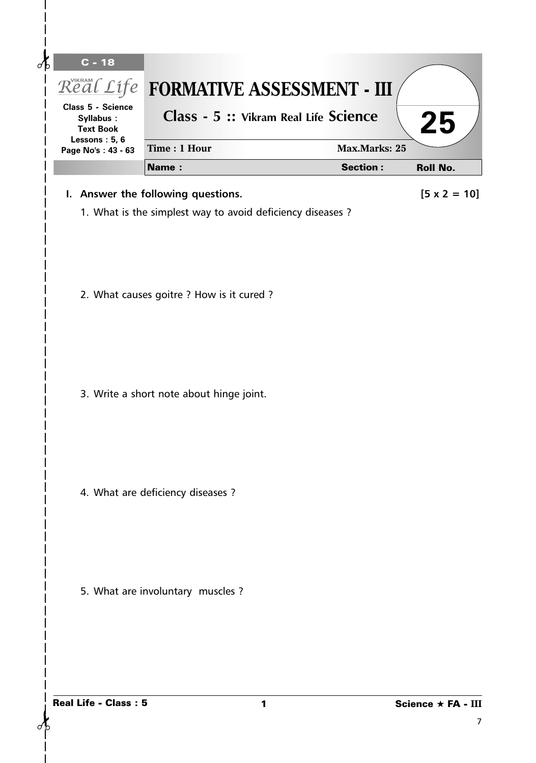| $\overline{C}$ - 18<br>₫<br>Class 5 - Science<br>Syllabus:<br><b>Text Book</b> | Real Life FORMATIVE ASSESSMENT - III<br>Class - 5 :: Vikram Real Life Science |   |                      | 25                      |
|--------------------------------------------------------------------------------|-------------------------------------------------------------------------------|---|----------------------|-------------------------|
| Lessons: 5, 6<br>Page No's: 43 - 63                                            | Time: 1 Hour                                                                  |   | <b>Max.Marks: 25</b> |                         |
|                                                                                | Name:                                                                         |   | <b>Section:</b>      | <b>Roll No.</b>         |
|                                                                                | I. Answer the following questions.                                            |   |                      | $[5 \times 2 = 10]$     |
|                                                                                | 1. What is the simplest way to avoid deficiency diseases ?                    |   |                      |                         |
|                                                                                | 2. What causes goitre ? How is it cured ?                                     |   |                      |                         |
|                                                                                | 3. Write a short note about hinge joint.                                      |   |                      |                         |
|                                                                                | 4. What are deficiency diseases ?                                             |   |                      |                         |
|                                                                                | 5. What are involuntary muscles ?                                             |   |                      |                         |
| <b>Real Life - Class: 5</b>                                                    |                                                                               | 1 |                      | Science ★ FA - III<br>7 |

 $\sigma$ 

 $\mathsf{l}$  $\overline{1}$  $\overline{\phantom{a}}$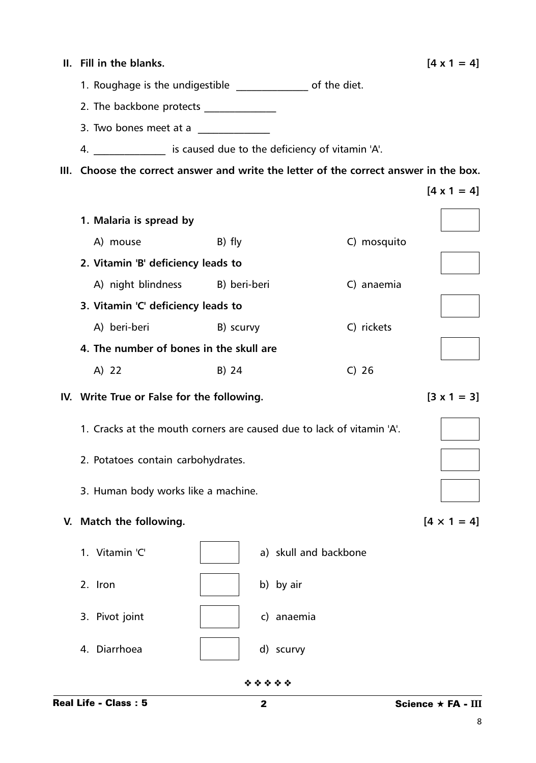| Н.   | Fill in the blanks.                                                              |                                                 |                       | $[4 \times 1 = 4]$ |
|------|----------------------------------------------------------------------------------|-------------------------------------------------|-----------------------|--------------------|
|      | 1. Roughage is the undigestible _________________ of the diet.                   |                                                 |                       |                    |
|      | 2. The backbone protects _______________                                         |                                                 |                       |                    |
|      | 3. Two bones meet at a                                                           | <u> 1999 - Johann Barnett, fransk politiker</u> |                       |                    |
|      | 4. ________________ is caused due to the deficiency of vitamin 'A'.              |                                                 |                       |                    |
| III. | Choose the correct answer and write the letter of the correct answer in the box. |                                                 |                       |                    |
|      |                                                                                  |                                                 |                       | $[4 \times 1 = 4]$ |
|      | 1. Malaria is spread by                                                          |                                                 |                       |                    |
|      | A) mouse                                                                         | B) fly                                          |                       | C) mosquito        |
|      | 2. Vitamin 'B' deficiency leads to                                               |                                                 |                       |                    |
|      | A) night blindness B) beri-beri                                                  |                                                 |                       | C) anaemia         |
|      | 3. Vitamin 'C' deficiency leads to                                               |                                                 |                       |                    |
|      | A) beri-beri                                                                     | B) scurvy                                       |                       | C) rickets         |
|      | 4. The number of bones in the skull are                                          |                                                 |                       |                    |
|      | A) 22                                                                            | B) 24                                           | $C)$ 26               |                    |
|      | IV. Write True or False for the following.                                       |                                                 |                       | $[3 \times 1 = 3]$ |
|      | 1. Cracks at the mouth corners are caused due to lack of vitamin 'A'.            |                                                 |                       |                    |
|      | 2. Potatoes contain carbohydrates.                                               |                                                 |                       |                    |
|      | 3. Human body works like a machine.                                              |                                                 |                       |                    |
| V.   | Match the following.                                                             |                                                 |                       | $[4 \times 1 = 4]$ |
|      | 1. Vitamin 'C'                                                                   |                                                 | a) skull and backbone |                    |
|      | 2. Iron                                                                          |                                                 | b) by air             |                    |
|      | 3. Pivot joint                                                                   |                                                 | c) anaemia            |                    |
|      | 4. Diarrhoea                                                                     |                                                 | d) scurvy             |                    |
|      |                                                                                  | * * * * *                                       |                       |                    |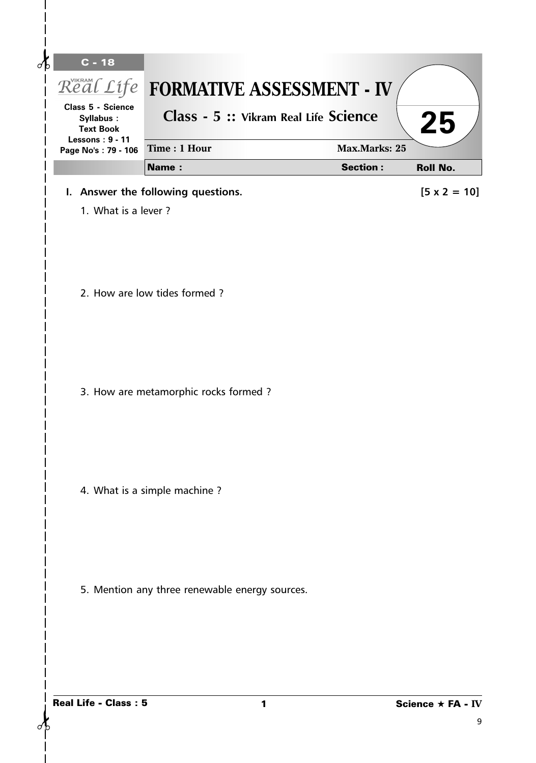| <b>Class 5 - Science</b><br>Syllabus:<br><b>Text Book</b> | Class - 5 :: Vikram Real Life Science          |                      | 25                  |
|-----------------------------------------------------------|------------------------------------------------|----------------------|---------------------|
| <b>Lessons: 9 - 11</b><br>Page No's: 79 - 106             | Time: 1 Hour                                   | <b>Max.Marks: 25</b> |                     |
|                                                           | <b>Name:</b>                                   | <b>Section:</b>      | <b>Roll No.</b>     |
|                                                           | I. Answer the following questions.             |                      | $[5 \times 2 = 10]$ |
| 1. What is a lever?                                       |                                                |                      |                     |
|                                                           | 2. How are low tides formed?                   |                      |                     |
|                                                           | 3. How are metamorphic rocks formed ?          |                      |                     |
|                                                           | 4. What is a simple machine?                   |                      |                     |
|                                                           | 5. Mention any three renewable energy sources. |                      |                     |
|                                                           |                                                |                      |                     |

 $\mathsf{l}$  $\overline{\phantom{a}}$  $\overline{\phantom{a}}$  $\overline{1}$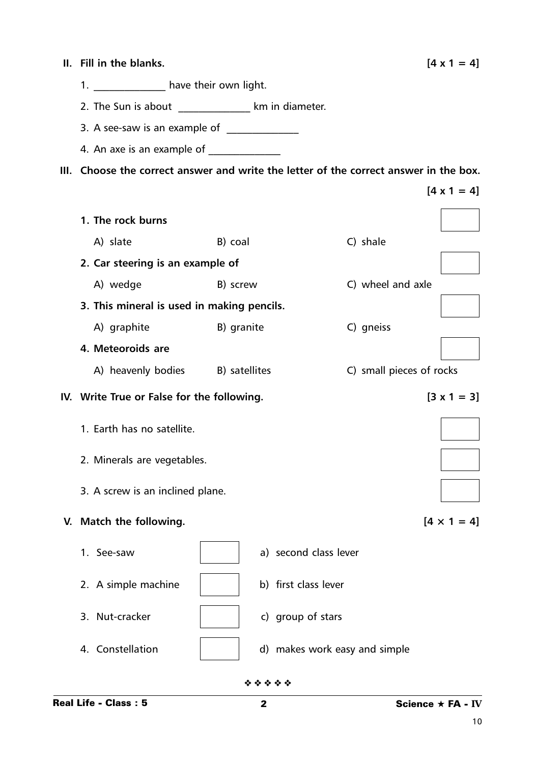| II. Fill in the blanks.                                                               |            |  |                               |                          | $[4 \times 1 = 4]$ |
|---------------------------------------------------------------------------------------|------------|--|-------------------------------|--------------------------|--------------------|
| 1. ______________ have their own light.                                               |            |  |                               |                          |                    |
| 2. The Sun is about _________________ km in diameter.                                 |            |  |                               |                          |                    |
| 3. A see-saw is an example of ______________                                          |            |  |                               |                          |                    |
|                                                                                       |            |  |                               |                          |                    |
| III. Choose the correct answer and write the letter of the correct answer in the box. |            |  |                               |                          |                    |
|                                                                                       |            |  |                               |                          | $[4 \times 1 = 4]$ |
| 1. The rock burns                                                                     |            |  |                               |                          |                    |
| A) slate                                                                              | B) coal    |  |                               | C) shale                 |                    |
| 2. Car steering is an example of                                                      |            |  |                               |                          |                    |
| B) screw<br>A) wedge                                                                  |            |  |                               | C) wheel and axle        |                    |
| 3. This mineral is used in making pencils.                                            |            |  |                               |                          |                    |
| A) graphite                                                                           | B) granite |  |                               | C) gneiss                |                    |
| 4. Meteoroids are                                                                     |            |  |                               |                          |                    |
| A) heavenly bodies B) satellites                                                      |            |  |                               | C) small pieces of rocks |                    |
| IV. Write True or False for the following.                                            |            |  |                               |                          | $[3 \times 1 = 3]$ |
| 1. Earth has no satellite.                                                            |            |  |                               |                          |                    |
| 2. Minerals are vegetables.                                                           |            |  |                               |                          |                    |
| 3. A screw is an inclined plane.                                                      |            |  |                               |                          |                    |
| V. Match the following.                                                               |            |  |                               |                          | $[4 \times 1 = 4]$ |
| 1. See-saw                                                                            |            |  | a) second class lever         |                          |                    |
| 2. A simple machine                                                                   |            |  | b) first class lever          |                          |                    |
| 3. Nut-cracker                                                                        |            |  | c) group of stars             |                          |                    |
| 4. Constellation                                                                      |            |  | d) makes work easy and simple |                          |                    |

❖ ❖ ❖ ❖ ❖

10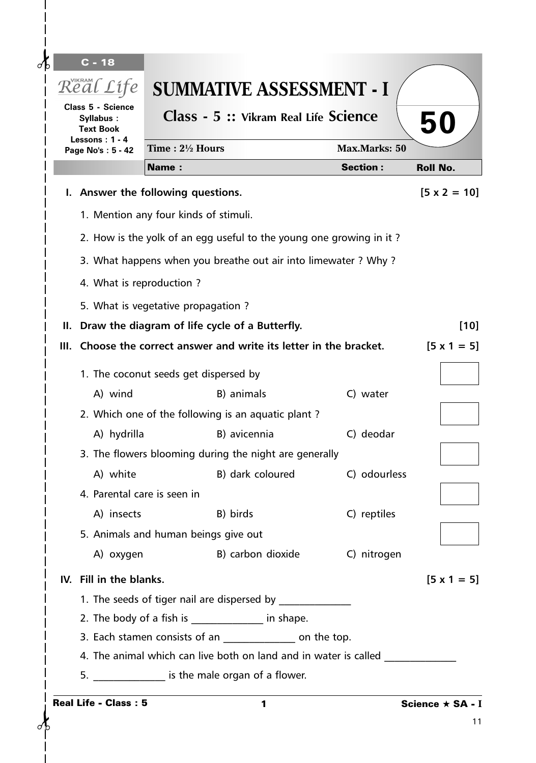| $\overline{C}$ - 18<br>Real Life                   |                  | <b>SUMMATIVE ASSESSMENT - I</b>                                                                                           |                      |                     |
|----------------------------------------------------|------------------|---------------------------------------------------------------------------------------------------------------------------|----------------------|---------------------|
| Class 5 - Science<br>Syllabus:<br><b>Text Book</b> |                  | Class - 5 :: Vikram Real Life Science                                                                                     |                      | 50                  |
| Lessons: $1 - 4$<br>Page No's: 5 - 42              | Time: 21/2 Hours |                                                                                                                           | <b>Max.Marks: 50</b> |                     |
|                                                    | <b>Name:</b>     |                                                                                                                           | <b>Section:</b>      | <b>Roll No.</b>     |
| I. Answer the following questions.                 |                  |                                                                                                                           |                      | $[5 \times 2 = 10]$ |
| 1. Mention any four kinds of stimuli.              |                  |                                                                                                                           |                      |                     |
|                                                    |                  | 2. How is the yolk of an egg useful to the young one growing in it?                                                       |                      |                     |
|                                                    |                  | 3. What happens when you breathe out air into limewater ? Why ?                                                           |                      |                     |
| 4. What is reproduction?                           |                  |                                                                                                                           |                      |                     |
|                                                    |                  |                                                                                                                           |                      |                     |
| 5. What is vegetative propagation?                 |                  |                                                                                                                           |                      | $[10]$              |
|                                                    |                  | II. Draw the diagram of life cycle of a Butterfly.<br>III. Choose the correct answer and write its letter in the bracket. |                      | $[5 \times 1 = 5]$  |
|                                                    |                  |                                                                                                                           |                      |                     |
| 1. The coconut seeds get dispersed by              |                  |                                                                                                                           |                      |                     |
| A) wind                                            |                  | B) animals                                                                                                                | C) water             |                     |
|                                                    |                  | 2. Which one of the following is an aquatic plant?                                                                        |                      |                     |
| A) hydrilla                                        |                  | B) avicennia                                                                                                              | C) deodar            |                     |
|                                                    |                  | 3. The flowers blooming during the night are generally                                                                    |                      |                     |
| 4. Parental care is seen in                        |                  | A) white The B) dark coloured C) odourless                                                                                |                      |                     |
| A) insects                                         |                  | B) birds                                                                                                                  | C) reptiles          |                     |
| 5. Animals and human beings give out               |                  |                                                                                                                           |                      |                     |
| A) oxygen                                          |                  | B) carbon dioxide                                                                                                         | C) nitrogen          |                     |
| IV. Fill in the blanks.                            |                  |                                                                                                                           |                      | $[5 \times 1 = 5]$  |
|                                                    |                  | 1. The seeds of tiger nail are dispersed by _______________                                                               |                      |                     |
|                                                    |                  | 2. The body of a fish is _______________ in shape.                                                                        |                      |                     |
|                                                    |                  | 3. Each stamen consists of an ________________ on the top.                                                                |                      |                     |
|                                                    |                  | 4. The animal which can live both on land and in water is called                                                          |                      |                     |
|                                                    |                  | 5. ________________ is the male organ of a flower.                                                                        |                      |                     |
| <b>Real Life - Class: 5</b>                        |                  | 1                                                                                                                         |                      | Science ★ SA - I    |
|                                                    |                  |                                                                                                                           |                      | 11                  |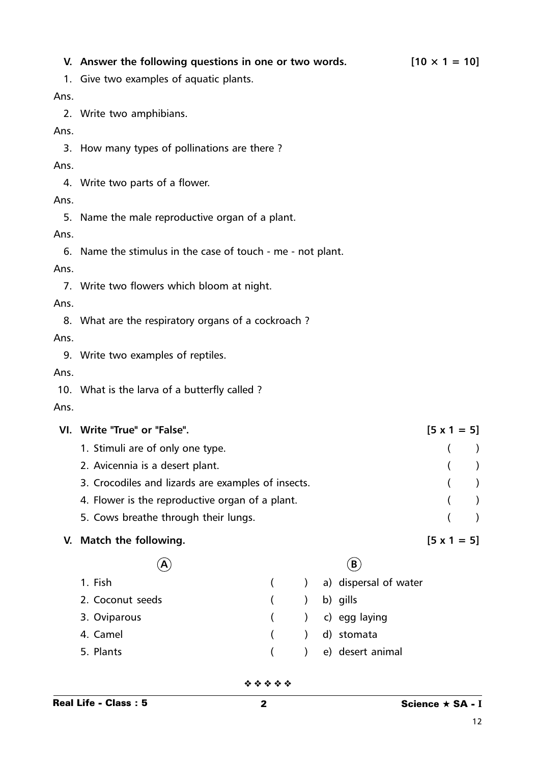#### **V.** Answer the following questions in one or two words.  $[10 \times 1 = 10]$

1. Give two examples of aquatic plants.

Ans.

2. Write two amphibians.

Ans.

3. How many types of pollinations are there ?

#### Ans.

4. Write two parts of a flower.

### Ans.

5. Name the male reproductive organ of a plant.

#### Ans.

6. Name the stimulus in the case of touch - me - not plant.

#### Ans.

7. Write two flowers which bloom at night.

### Ans.

8. What are the respiratory organs of a cockroach ?

### Ans.

9. Write two examples of reptiles.

#### Ans.

10. What is the larva of a butterfly called ?

Ans.

| VI. | Write "True" or "False".                           |  |  |  |                       | $[5 \times 1 = 5]$ |  |  |
|-----|----------------------------------------------------|--|--|--|-----------------------|--------------------|--|--|
|     | 1. Stimuli are of only one type.                   |  |  |  |                       |                    |  |  |
|     | 2. Avicennia is a desert plant.                    |  |  |  |                       |                    |  |  |
|     | 3. Crocodiles and lizards are examples of insects. |  |  |  |                       |                    |  |  |
|     | 4. Flower is the reproductive organ of a plant.    |  |  |  |                       |                    |  |  |
|     | 5. Cows breathe through their lungs.               |  |  |  |                       |                    |  |  |
|     | V. Match the following.                            |  |  |  |                       | $[5 \times 1 = 5]$ |  |  |
|     | A                                                  |  |  |  | B                     |                    |  |  |
|     | 1. Fish                                            |  |  |  | a) dispersal of water |                    |  |  |
|     | 2. Coconut seeds                                   |  |  |  | b) gills              |                    |  |  |
|     | 3. Oviparous                                       |  |  |  | c) egg laying         |                    |  |  |
|     | 4. Camel                                           |  |  |  | d) stomata            |                    |  |  |
|     | 5. Plants                                          |  |  |  | e) desert animal      |                    |  |  |

12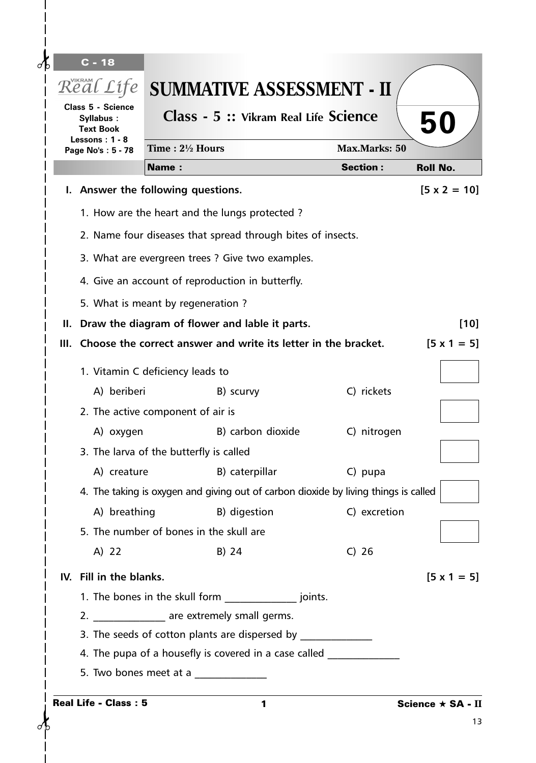| $C - 18$                                           |                                                                                                                   |                                    |                     |  |
|----------------------------------------------------|-------------------------------------------------------------------------------------------------------------------|------------------------------------|---------------------|--|
| Real Life                                          | <b>SUMMATIVE ASSESSMENT - II</b>                                                                                  |                                    |                     |  |
| Class 5 - Science<br>Syllabus:<br><b>Text Book</b> | Class - 5 :: Vikram Real Life Science                                                                             | 50                                 |                     |  |
| Lessons: $1 - 8$<br>Page No's: 5 - 78              | Time: 21/2 Hours                                                                                                  | <b>Max.Marks: 50</b>               |                     |  |
|                                                    | <b>Name:</b>                                                                                                      | <b>Section:</b><br><b>Roll No.</b> |                     |  |
|                                                    | I. Answer the following questions.                                                                                |                                    | $[5 \times 2 = 10]$ |  |
|                                                    | 1. How are the heart and the lungs protected ?                                                                    |                                    |                     |  |
|                                                    | 2. Name four diseases that spread through bites of insects.                                                       |                                    |                     |  |
|                                                    | 3. What are evergreen trees ? Give two examples.                                                                  |                                    |                     |  |
|                                                    | 4. Give an account of reproduction in butterfly.                                                                  |                                    |                     |  |
|                                                    | 5. What is meant by regeneration?                                                                                 |                                    |                     |  |
|                                                    | II. Draw the diagram of flower and lable it parts.                                                                |                                    | $[10]$              |  |
|                                                    | III. Choose the correct answer and write its letter in the bracket.                                               |                                    | $[5 \times 1 = 5]$  |  |
|                                                    |                                                                                                                   |                                    |                     |  |
|                                                    | 1. Vitamin C deficiency leads to                                                                                  |                                    |                     |  |
| A) beriberi                                        | B) scurvy                                                                                                         | C) rickets                         |                     |  |
|                                                    | 2. The active component of air is                                                                                 |                                    |                     |  |
| A) oxygen                                          | B) carbon dioxide                                                                                                 | C) nitrogen                        |                     |  |
|                                                    | 3. The larva of the butterfly is called                                                                           |                                    |                     |  |
|                                                    | A) creature B) caterpillar<br>4. The taking is oxygen and giving out of carbon dioxide by living things is called | C) pupa                            |                     |  |
| A) breathing                                       | B) digestion                                                                                                      | C) excretion                       |                     |  |
|                                                    | 5. The number of bones in the skull are                                                                           |                                    |                     |  |
| A) 22                                              | B) 24                                                                                                             | $C)$ 26                            |                     |  |
| IV. Fill in the blanks.                            |                                                                                                                   |                                    | $[5 \times 1 = 5]$  |  |
|                                                    | 1. The bones in the skull form ___________________ joints.                                                        |                                    |                     |  |
|                                                    | 2. ________________ are extremely small germs.                                                                    |                                    |                     |  |
|                                                    | 3. The seeds of cotton plants are dispersed by _________________________________                                  |                                    |                     |  |
|                                                    | 4. The pupa of a housefly is covered in a case called __________________________                                  |                                    |                     |  |
|                                                    | 5. Two bones meet at a $\frac{1}{2}$ meer at a substituting $\frac{1}{2}$ meet at a $\frac{1}{2}$                 |                                    |                     |  |
| <b>Real Life - Class: 5</b>                        |                                                                                                                   |                                    | Science ★ SA - II   |  |
|                                                    | 1                                                                                                                 |                                    | 13                  |  |

 $\sigma$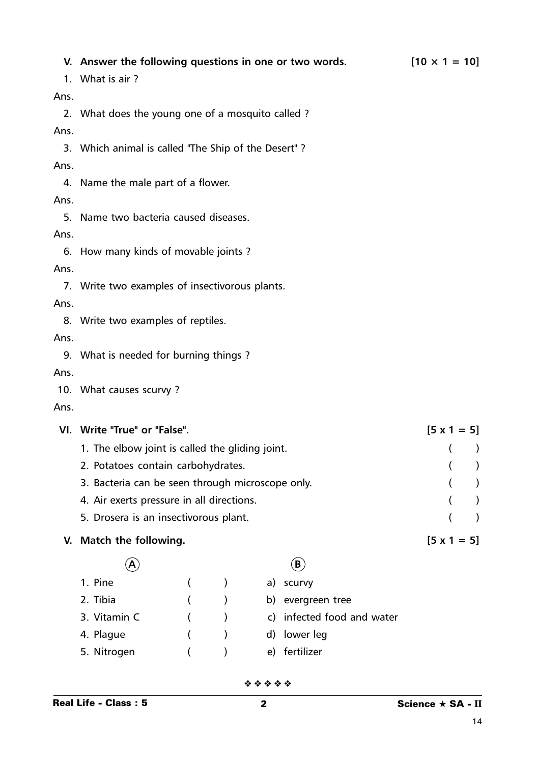|      | V. Answer the following questions in one or two words.<br>1. What is air? | $[10 \times 1 = 10]$ |  |  |  |
|------|---------------------------------------------------------------------------|----------------------|--|--|--|
| Ans. |                                                                           |                      |  |  |  |
|      | 2. What does the young one of a mosquito called?                          |                      |  |  |  |
| Ans. |                                                                           |                      |  |  |  |
|      | 3. Which animal is called "The Ship of the Desert"?                       |                      |  |  |  |
| Ans. |                                                                           |                      |  |  |  |
|      | 4. Name the male part of a flower.                                        |                      |  |  |  |
| Ans. |                                                                           |                      |  |  |  |
|      | 5. Name two bacteria caused diseases.                                     |                      |  |  |  |
| Ans. |                                                                           |                      |  |  |  |
|      | 6. How many kinds of movable joints?                                      |                      |  |  |  |
| Ans. |                                                                           |                      |  |  |  |
|      | 7. Write two examples of insectivorous plants.                            |                      |  |  |  |
| Ans. |                                                                           |                      |  |  |  |
|      | 8. Write two examples of reptiles.                                        |                      |  |  |  |
| Ans. |                                                                           |                      |  |  |  |
|      | 9. What is needed for burning things?                                     |                      |  |  |  |
| Ans. |                                                                           |                      |  |  |  |
|      | 10. What causes scurvy?                                                   |                      |  |  |  |
| Ans. |                                                                           |                      |  |  |  |
|      | VI. Write "True" or "False".                                              | $[5 \times 1 = 5]$   |  |  |  |
|      | 1. The elbow joint is called the gliding joint.                           | $\lambda$            |  |  |  |
|      | 2. Potatoes contain carbohydrates.                                        |                      |  |  |  |
|      | 3. Bacteria can be seen through microscope only.                          |                      |  |  |  |
|      | 4. Air exerts pressure in all directions.                                 |                      |  |  |  |
|      | 5. Drosera is an insectivorous plant.                                     |                      |  |  |  |
| V.   | Match the following.                                                      | $[5 \times 1 = 5]$   |  |  |  |
|      | $\left(\textbf{B}\right)$<br>Α                                            |                      |  |  |  |
|      |                                                                           |                      |  |  |  |

| 1. Pine      |            | a) scurvy                  |
|--------------|------------|----------------------------|
| 2. Tibia     |            | b) evergreen tree          |
| 3. Vitamin C | $\sqrt{2}$ | c) infected food and water |
| 4. Plague    |            | d) lower leg               |
| 5. Nitrogen  |            | e) fertilizer              |
|              |            |                            |

❖ ❖ ❖ ❖ ❖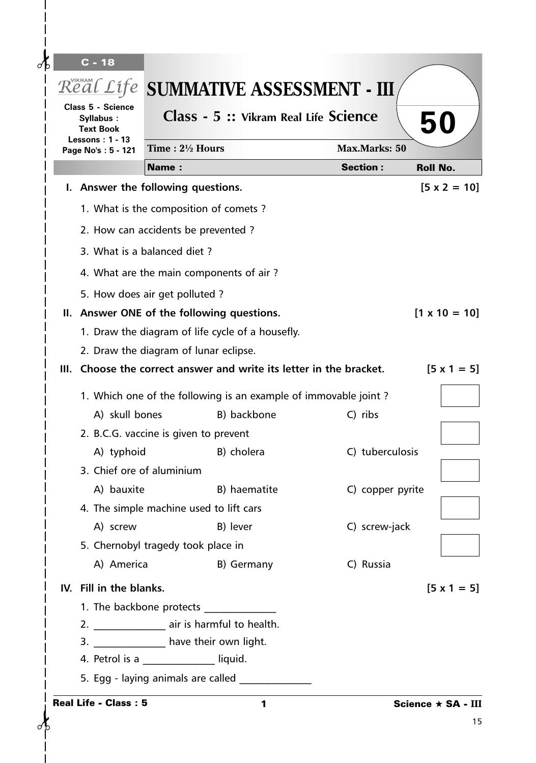|                                                             | Class 5 - Science<br>Syllabus:                                                            |              | Real Life SUMMATIVE ASSESSMENT - III<br>Class - 5 :: Vikram Real Life Science |                      |                      |  |
|-------------------------------------------------------------|-------------------------------------------------------------------------------------------|--------------|-------------------------------------------------------------------------------|----------------------|----------------------|--|
| <b>Text Book</b><br>Lessons: $1 - 13$<br>Page No's: 5 - 121 |                                                                                           | 50           |                                                                               |                      |                      |  |
|                                                             |                                                                                           |              | Time: $2\frac{1}{2}$ Hours                                                    | <b>Max.Marks: 50</b> |                      |  |
|                                                             |                                                                                           | <b>Name:</b> |                                                                               | <b>Section:</b>      | <b>Roll No.</b>      |  |
|                                                             | I. Answer the following questions.                                                        |              |                                                                               |                      | $[5 \times 2 = 10]$  |  |
|                                                             | 1. What is the composition of comets?                                                     |              |                                                                               |                      |                      |  |
|                                                             |                                                                                           |              | 2. How can accidents be prevented?                                            |                      |                      |  |
|                                                             | 3. What is a balanced diet?                                                               |              |                                                                               |                      |                      |  |
|                                                             |                                                                                           |              | 4. What are the main components of air?                                       |                      |                      |  |
|                                                             | 5. How does air get polluted?                                                             |              |                                                                               |                      |                      |  |
|                                                             |                                                                                           |              | II. Answer ONE of the following questions.                                    |                      | $[1 \times 10 = 10]$ |  |
|                                                             |                                                                                           |              | 1. Draw the diagram of life cycle of a housefly.                              |                      |                      |  |
|                                                             | 2. Draw the diagram of lunar eclipse.                                                     |              |                                                                               |                      |                      |  |
|                                                             | III. Choose the correct answer and write its letter in the bracket.<br>$[5 \times 1 = 5]$ |              |                                                                               |                      |                      |  |
|                                                             |                                                                                           |              | 1. Which one of the following is an example of immovable joint?               |                      |                      |  |
|                                                             | A) skull bones                                                                            |              | B) backbone                                                                   | C) ribs              |                      |  |
|                                                             |                                                                                           |              | 2. B.C.G. vaccine is given to prevent                                         |                      |                      |  |
|                                                             | A) typhoid                                                                                |              | B) cholera                                                                    | C) tuberculosis      |                      |  |
|                                                             | 3. Chief ore of aluminium                                                                 |              |                                                                               |                      |                      |  |
|                                                             | A) bauxite                                                                                |              | B) haematite                                                                  | C) copper pyrite     |                      |  |
|                                                             |                                                                                           |              | 4. The simple machine used to lift cars                                       |                      |                      |  |
|                                                             | A) screw                                                                                  |              | B) lever                                                                      | C) screw-jack        |                      |  |
|                                                             | 5. Chernobyl tragedy took place in                                                        |              |                                                                               |                      |                      |  |
|                                                             | A) America                                                                                |              | B) Germany                                                                    | C) Russia            |                      |  |
|                                                             | IV. Fill in the blanks.                                                                   |              |                                                                               |                      | $[5 \times 1 = 5]$   |  |
|                                                             |                                                                                           |              |                                                                               |                      |                      |  |
|                                                             |                                                                                           |              | 2. __________________ air is harmful to health.                               |                      |                      |  |
|                                                             |                                                                                           |              | 3. _______________ have their own light.                                      |                      |                      |  |
|                                                             | 4. Petrol is a _____________ liquid.                                                      |              |                                                                               |                      |                      |  |
|                                                             |                                                                                           |              | 5. Egg - laying animals are called                                            |                      |                      |  |
|                                                             | <b>Real Life - Class: 5</b>                                                               |              | 1                                                                             |                      | Science ★ SA - III   |  |

 $\mathbf{I}$